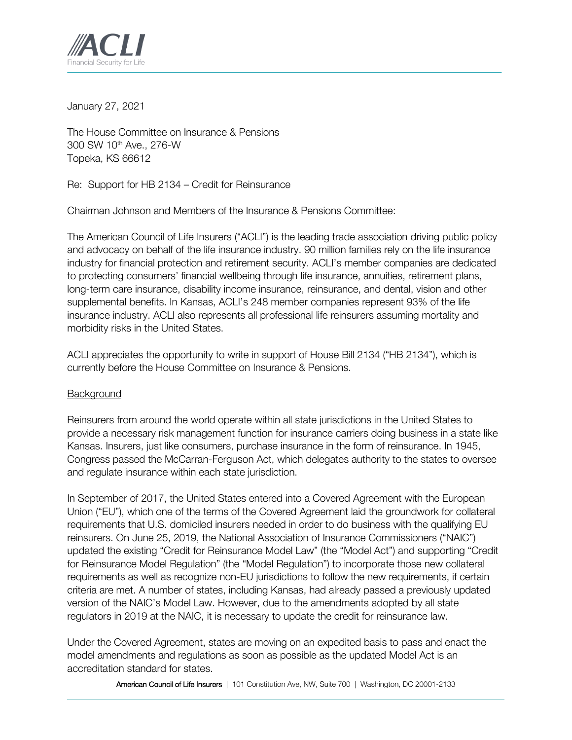

January 27, 2021

The House Committee on Insurance & Pensions 300 SW 10th Ave., 276-W Topeka, KS 66612

Re: Support for HB 2134 – Credit for Reinsurance

Chairman Johnson and Members of the Insurance & Pensions Committee:

The American Council of Life Insurers ("ACLI") is the leading trade association driving public policy and advocacy on behalf of the life insurance industry. 90 million families rely on the life insurance industry for financial protection and retirement security. ACLI's member companies are dedicated to protecting consumers' financial wellbeing through life insurance, annuities, retirement plans, long-term care insurance, disability income insurance, reinsurance, and dental, vision and other supplemental benefits. In Kansas, ACLI's 248 member companies represent 93% of the life insurance industry. ACLI also represents all professional life reinsurers assuming mortality and morbidity risks in the United States.

ACLI appreciates the opportunity to write in support of House Bill 2134 ("HB 2134"), which is currently before the House Committee on Insurance & Pensions.

## **Background**

Reinsurers from around the world operate within all state jurisdictions in the United States to provide a necessary risk management function for insurance carriers doing business in a state like Kansas. Insurers, just like consumers, purchase insurance in the form of reinsurance. In 1945, Congress passed the McCarran-Ferguson Act, which delegates authority to the states to oversee and regulate insurance within each state jurisdiction.

In September of 2017, the United States entered into a Covered Agreement with the European Union ("EU"), which one of the terms of the Covered Agreement laid the groundwork for collateral requirements that U.S. domiciled insurers needed in order to do business with the qualifying EU reinsurers. On June 25, 2019, the National Association of Insurance Commissioners ("NAIC") updated the existing "Credit for Reinsurance Model Law" (the "Model Act") and supporting "Credit for Reinsurance Model Regulation" (the "Model Regulation") to incorporate those new collateral requirements as well as recognize non-EU jurisdictions to follow the new requirements, if certain criteria are met. A number of states, including Kansas, had already passed a previously updated version of the NAIC's Model Law. However, due to the amendments adopted by all state regulators in 2019 at the NAIC, it is necessary to update the credit for reinsurance law.

Under the Covered Agreement, states are moving on an expedited basis to pass and enact the model amendments and regulations as soon as possible as the updated Model Act is an accreditation standard for states.

American Council of Life Insurers | 101 Constitution Ave, NW, Suite 700 | Washington, DC 20001-2133